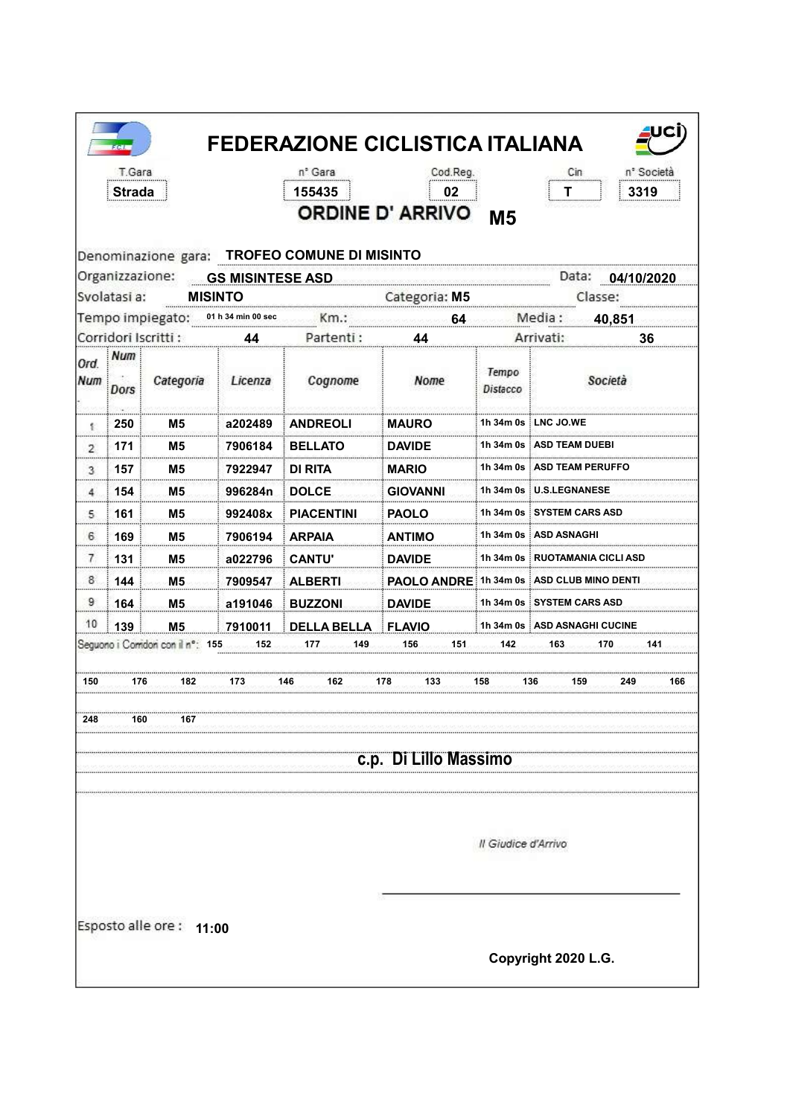| Organizzazione:<br>Svolatasi a:<br>Corridori Iscritti:<br>Ord<br>Num<br>Ϋ.<br>2<br>3<br>4<br>5 | Strada<br>Num | <b>MISINTO</b><br>Tempo impiegato: | <b>GS MISINTESE ASD</b> | 155435<br>Denominazione gara: TROFEO COMUNE DI MISINTO | 02<br><b>ORDINE D' ARRIVO</b> | <b>M5</b>           | 3319                                     |
|------------------------------------------------------------------------------------------------|---------------|------------------------------------|-------------------------|--------------------------------------------------------|-------------------------------|---------------------|------------------------------------------|
|                                                                                                |               |                                    |                         |                                                        |                               |                     |                                          |
|                                                                                                |               |                                    |                         |                                                        |                               |                     |                                          |
|                                                                                                |               |                                    |                         |                                                        |                               |                     | Data: 04/10/2020                         |
|                                                                                                |               |                                    |                         |                                                        | Categoria: M5                 |                     | Classe:                                  |
|                                                                                                |               |                                    | 01 h 34 min 00 sec      |                                                        | 64                            |                     | Media :<br>40.851                        |
|                                                                                                |               |                                    | 44                      | Partenti:                                              | 44                            |                     | Arrivati:<br>36                          |
|                                                                                                | Dors          | Categoria                          | Licenza                 | Cognome                                                | Nome                          | Tempo<br>Distacco   | Società                                  |
|                                                                                                | 250           | M5                                 | a202489                 | <b>ANDREOLI</b>                                        | <b>MAURO</b>                  |                     | 1h 34m 0s ┊LNC JO.WE                     |
|                                                                                                | 171           | М5                                 | 7906184                 | <b>BELLATO</b>                                         | <b>DAVIDE</b>                 |                     | 1h 34m 0s ┊ASD TEAM DUEBI                |
|                                                                                                | 157           | M5                                 | 7922947                 | DI RITA                                                | <b>MARIO</b>                  |                     | 1h 34m 0s i ASD TEAM PERUFFC             |
|                                                                                                | 154           | Μ5                                 | 996284n                 | <b>DOLCE</b>                                           | GIOVANNI                      |                     | 1h 34m 0s U.S.LEGNANESE                  |
|                                                                                                | 161           | M5                                 | 992408x                 | <b>PIACENTINI</b>                                      | <b>PAOLO</b>                  |                     | 1h 34m 0s ∶SYSTEM CARS ASD               |
| 6                                                                                              | 169           | M5                                 | 7906194                 | <b>ARPAIA</b>                                          | <b>ANTIMO</b>                 |                     | 1h 34m 0s ∶ASD ASNAGHI                   |
| 7                                                                                              | 131           | M5                                 | a022796                 | <b>CANTU'</b>                                          | <b>DAVIDE</b>                 |                     | 1h 34m 0s ∃RUOTAMANIA CICLI ASD          |
| 8.                                                                                             | 144           | M5                                 | 7909547                 | <b>ALBERTI</b>                                         |                               |                     | PAOLO ANDRE 1h 34m 0s ASD CLUB MINO DENT |
| 9                                                                                              | 164           | M5.                                | a191046                 | <b>BUZZONI</b>                                         | <b>DAVIDE</b>                 |                     | 1h 34m 0s SYSTEM CARS ASD                |
| 10                                                                                             | 139           | M <sub>5</sub>                     | 7910011                 | <b>DELLA BELLA</b>                                     | <b>FLAVIO</b>                 |                     | 1h 34m 0s   ASD ASNAGHI CUCINE           |
|                                                                                                |               | Seguono i Comidori con il nº: 155  | 152                     | 177<br>149                                             | 156<br>151                    | 142                 | 163<br>170<br>141                        |
|                                                                                                |               |                                    |                         |                                                        |                               |                     |                                          |
| 150                                                                                            | 176           | 182                                | 173                     | 146<br>162                                             | 133<br>178                    | 158                 | 136<br>249<br>166<br>159                 |
|                                                                                                |               |                                    |                         |                                                        |                               |                     |                                          |
| 248                                                                                            | 160           | 167                                |                         |                                                        |                               |                     |                                          |
|                                                                                                |               |                                    |                         |                                                        | c.p. Di Lillo Massimo         |                     |                                          |
|                                                                                                |               |                                    |                         |                                                        |                               |                     |                                          |
|                                                                                                |               |                                    |                         |                                                        |                               |                     |                                          |
|                                                                                                |               |                                    |                         |                                                        |                               |                     |                                          |
|                                                                                                |               |                                    |                         |                                                        |                               | Il Giudice d'Arrivo |                                          |
|                                                                                                |               |                                    |                         |                                                        |                               |                     |                                          |
|                                                                                                |               |                                    |                         |                                                        |                               |                     |                                          |
|                                                                                                |               |                                    |                         |                                                        |                               |                     |                                          |
|                                                                                                |               | Esposto alle ore: 11:00            |                         |                                                        |                               |                     |                                          |
|                                                                                                |               |                                    |                         |                                                        |                               |                     |                                          |
|                                                                                                |               |                                    |                         |                                                        |                               |                     | Copyright 2020 L.G.                      |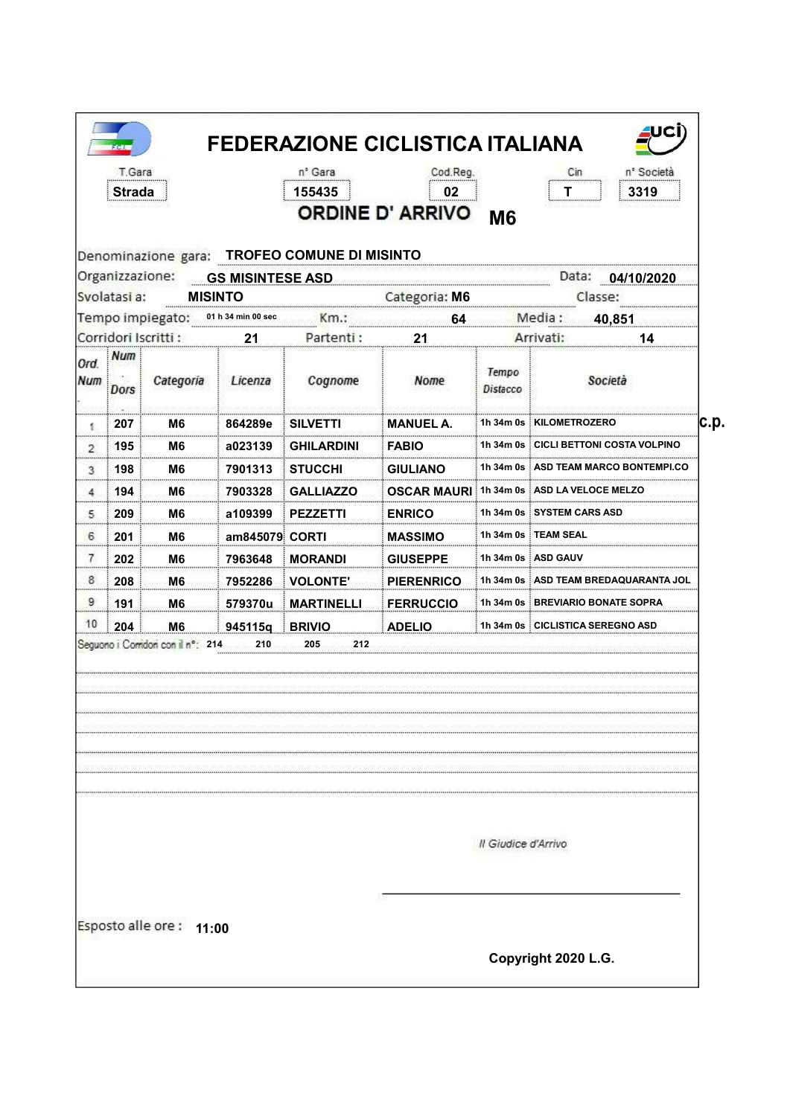| Denominazione gara: TROFEO COMUNE DI MISINTO<br>Organizzazione:<br>Data: 04/10/2020<br><b>GS MISINTESE ASD</b><br>Svolatasi a:<br><b>MISINTO</b><br>Categoria: M6<br>Classe:<br>Tempo impiegato:<br>Media:<br>01 h 34 min 00 sec<br>Km.:<br>40,851<br>64<br>Corridori Iscritti :<br>Partenti:<br>Arrivati:<br>21<br>21<br>Num<br>Tempo<br>Società<br>Categoria<br>Licenza<br>Cognome<br>Nome<br><b>Dors</b><br>Distacco<br>1h 34m 0s KILOMETROZERO<br>207<br>M6<br>864289e<br><b>SILVETTI</b><br><b>MANUEL A.</b><br>髪<br>1h 34m 0s<br><b>ECICLI BETTONI COSTA VOLPINO</b><br>195<br><b>FABIO</b><br>M6<br>a023139<br>GHILARDINI<br>$\overline{2}$<br>1h 34m 0s : ASD TEAM MARCO BONTEMPI.CO<br>198<br>M6<br><b>GIULIANO</b><br>7901313<br><b>STUCCHI</b><br>3<br>1h 34m 0s ASD LA VELOCE MELZO<br>194<br>M6.<br>7903328<br><b>GALLIAZZO</b><br><b>OSCAR MAURLE</b><br>4<br>1h 34m 0s SYSTEM CARS ASD<br>209<br>M6<br>a109399<br>5<br><b>PEZZETTI</b><br><b>ENRICO</b><br>1h 34m 0s i TEAM SEAL<br>6<br>201<br>am845079 CORTI<br>M6<br><b>MASSIMO</b><br>7<br>202<br>1h 34m 0s i ASD GAUV<br>M6<br>7963648<br><b>GIUSEPPE</b><br><b>MORANDI</b><br>8<br>208<br>M6<br>7952286<br><b>VOLONTE'</b><br><b>PIERENRICO</b><br>1h 34m 0s ASD TEAM BREDAQUARANTA JOI<br>9<br>191<br>1h 34m 0s BREVIARIO BONATE SOPRA<br>M <sub>6</sub><br>579370u<br><b>MARTINELLI</b><br><b>FERRUCCIO</b><br>10<br>204<br>1h 34m 0s CICLISTICA SEREGNO ASD<br>M <sub>6</sub><br>945115q<br><b>BRIVIO</b><br><b>ADELIO</b><br>212<br>210<br>205 |      | M <sub>6</sub> | 02<br><b>ORDINE D' ARRIVO</b> | 155435 |  | Strada |  |
|-------------------------------------------------------------------------------------------------------------------------------------------------------------------------------------------------------------------------------------------------------------------------------------------------------------------------------------------------------------------------------------------------------------------------------------------------------------------------------------------------------------------------------------------------------------------------------------------------------------------------------------------------------------------------------------------------------------------------------------------------------------------------------------------------------------------------------------------------------------------------------------------------------------------------------------------------------------------------------------------------------------------------------------------------------------------------------------------------------------------------------------------------------------------------------------------------------------------------------------------------------------------------------------------------------------------------------------------------------------------------------------------------------------------------------------------------------------------------------------------------------------------------|------|----------------|-------------------------------|--------|--|--------|--|
|                                                                                                                                                                                                                                                                                                                                                                                                                                                                                                                                                                                                                                                                                                                                                                                                                                                                                                                                                                                                                                                                                                                                                                                                                                                                                                                                                                                                                                                                                                                         |      |                |                               |        |  |        |  |
|                                                                                                                                                                                                                                                                                                                                                                                                                                                                                                                                                                                                                                                                                                                                                                                                                                                                                                                                                                                                                                                                                                                                                                                                                                                                                                                                                                                                                                                                                                                         |      |                |                               |        |  |        |  |
|                                                                                                                                                                                                                                                                                                                                                                                                                                                                                                                                                                                                                                                                                                                                                                                                                                                                                                                                                                                                                                                                                                                                                                                                                                                                                                                                                                                                                                                                                                                         |      |                |                               |        |  |        |  |
| Ord.<br>Num                                                                                                                                                                                                                                                                                                                                                                                                                                                                                                                                                                                                                                                                                                                                                                                                                                                                                                                                                                                                                                                                                                                                                                                                                                                                                                                                                                                                                                                                                                             | 14   |                |                               |        |  |        |  |
|                                                                                                                                                                                                                                                                                                                                                                                                                                                                                                                                                                                                                                                                                                                                                                                                                                                                                                                                                                                                                                                                                                                                                                                                                                                                                                                                                                                                                                                                                                                         |      |                |                               |        |  |        |  |
|                                                                                                                                                                                                                                                                                                                                                                                                                                                                                                                                                                                                                                                                                                                                                                                                                                                                                                                                                                                                                                                                                                                                                                                                                                                                                                                                                                                                                                                                                                                         | c.p. |                |                               |        |  |        |  |
|                                                                                                                                                                                                                                                                                                                                                                                                                                                                                                                                                                                                                                                                                                                                                                                                                                                                                                                                                                                                                                                                                                                                                                                                                                                                                                                                                                                                                                                                                                                         |      |                |                               |        |  |        |  |
|                                                                                                                                                                                                                                                                                                                                                                                                                                                                                                                                                                                                                                                                                                                                                                                                                                                                                                                                                                                                                                                                                                                                                                                                                                                                                                                                                                                                                                                                                                                         |      |                |                               |        |  |        |  |
|                                                                                                                                                                                                                                                                                                                                                                                                                                                                                                                                                                                                                                                                                                                                                                                                                                                                                                                                                                                                                                                                                                                                                                                                                                                                                                                                                                                                                                                                                                                         |      |                |                               |        |  |        |  |
|                                                                                                                                                                                                                                                                                                                                                                                                                                                                                                                                                                                                                                                                                                                                                                                                                                                                                                                                                                                                                                                                                                                                                                                                                                                                                                                                                                                                                                                                                                                         |      |                |                               |        |  |        |  |
|                                                                                                                                                                                                                                                                                                                                                                                                                                                                                                                                                                                                                                                                                                                                                                                                                                                                                                                                                                                                                                                                                                                                                                                                                                                                                                                                                                                                                                                                                                                         |      |                |                               |        |  |        |  |
| Seguono i Comidoni con il nº: 214                                                                                                                                                                                                                                                                                                                                                                                                                                                                                                                                                                                                                                                                                                                                                                                                                                                                                                                                                                                                                                                                                                                                                                                                                                                                                                                                                                                                                                                                                       |      |                |                               |        |  |        |  |
|                                                                                                                                                                                                                                                                                                                                                                                                                                                                                                                                                                                                                                                                                                                                                                                                                                                                                                                                                                                                                                                                                                                                                                                                                                                                                                                                                                                                                                                                                                                         |      |                |                               |        |  |        |  |
|                                                                                                                                                                                                                                                                                                                                                                                                                                                                                                                                                                                                                                                                                                                                                                                                                                                                                                                                                                                                                                                                                                                                                                                                                                                                                                                                                                                                                                                                                                                         |      |                |                               |        |  |        |  |
|                                                                                                                                                                                                                                                                                                                                                                                                                                                                                                                                                                                                                                                                                                                                                                                                                                                                                                                                                                                                                                                                                                                                                                                                                                                                                                                                                                                                                                                                                                                         |      |                |                               |        |  |        |  |
| Il Giudice d'Arrivo                                                                                                                                                                                                                                                                                                                                                                                                                                                                                                                                                                                                                                                                                                                                                                                                                                                                                                                                                                                                                                                                                                                                                                                                                                                                                                                                                                                                                                                                                                     |      |                |                               |        |  |        |  |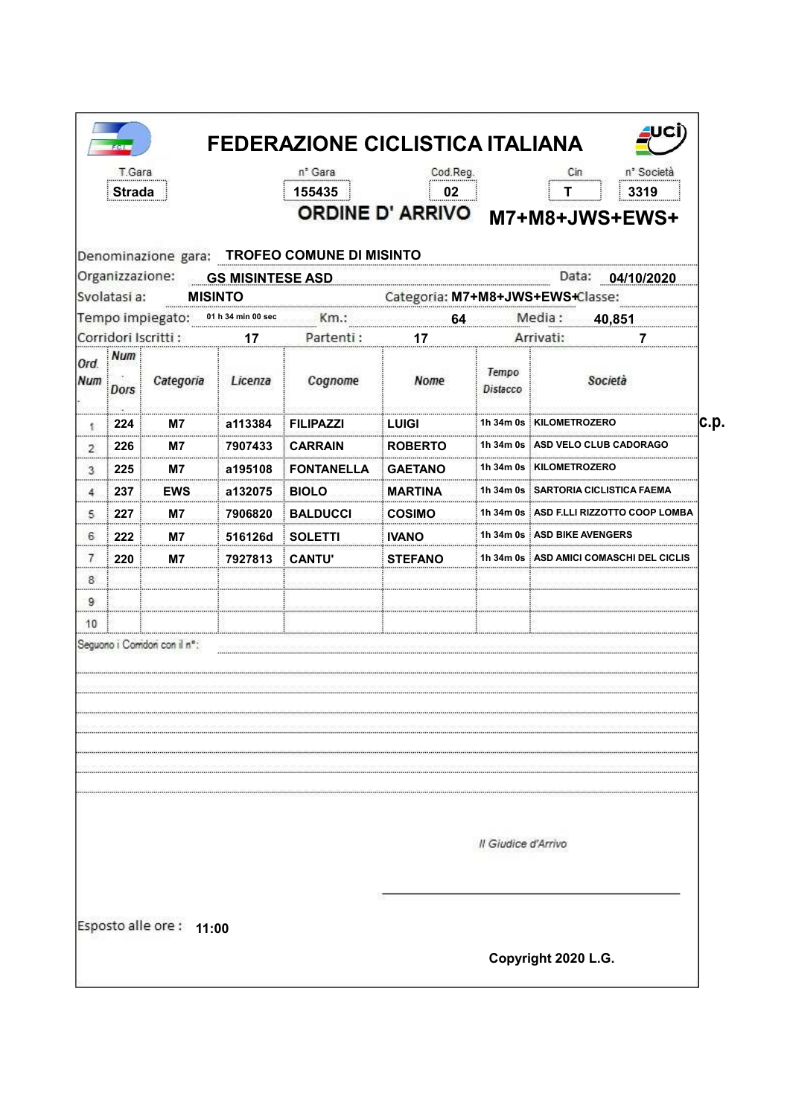|                    | T.Gara<br><b>Strada</b> |                                     |                | n° Gara<br>155435                            | Cod.Reg.<br>02 |                     | n° Società<br>Cin<br>3319<br>T,<br>ORDINE D'ARRIVO M7+M8+JWS+EWS+ |
|--------------------|-------------------------|-------------------------------------|----------------|----------------------------------------------|----------------|---------------------|-------------------------------------------------------------------|
|                    |                         | Organizzazione: GS MISINTESE ASD    |                | Denominazione gara: TROFEO COMUNE DI MISINTO |                |                     |                                                                   |
|                    | Svolatasi a:            |                                     | <b>MISINTO</b> |                                              |                |                     | Data: 04/10/2020<br>Categoria: M7+M8+JWS+EWS+Classe:              |
|                    |                         | Tempo impiegato: 01 h 34 min 00 sec |                |                                              | 64             |                     | Media:<br>40,851                                                  |
|                    |                         | Corridori Iscritti :                | 17             | Partenti:                                    | 17             |                     | Arrivati:<br>7                                                    |
| Ord.<br><b>Num</b> | Num<br>Dors             | Categoria                           | Licenza        | Cognome                                      | Nome           | Tempo<br>Distacco   | Società                                                           |
| 髪                  | : 224                   | M7                                  | a113384        | <b>FILIPAZZI</b>                             | LUIGI          |                     | 1h 34m 0s KILOMETROZERO                                           |
| $\mathcal{P}$      | 226                     | M7                                  | 7907433        | <b>CARRAIN</b>                               | <b>ROBERTO</b> |                     | 1h 34m 0s : ASD VELO CLUB CADORAGO                                |
| 3                  | 225                     | M7                                  | a195108        | <b>FONTANELLA</b>                            | <b>GAETANO</b> |                     | 1h 34m 0s   KILOMETROZERO                                         |
| 4.                 | 237                     | <b>EWS</b>                          | a132075        | <b>BIOLO</b>                                 | <b>MARTINA</b> |                     | 1h 34m 0s i SARTORIA CICLISTICA FAEMA                             |
| 5.                 | 227                     | M7                                  | 7906820        | <b>BALDUCCI</b>                              | <b>COSIMO</b>  |                     | 1h 34m 0s : ASD F.LLI RIZZOTTO COOP L                             |
| 6                  | 222                     | M7                                  | 516126d        | <b>SOLETTI</b>                               | <b>IVANO</b>   |                     | 1h 34m 0s   ASD BIKE AVENGERS                                     |
| 7<br>              | 220                     | M7                                  | 7927813        | <b>CANTU</b>                                 | <b>STEFANO</b> |                     | 1h 34m 0s i ASD AMICI                                             |
| 8                  |                         |                                     |                |                                              |                |                     |                                                                   |
| 9                  |                         |                                     |                |                                              |                |                     |                                                                   |
| 10                 |                         |                                     |                |                                              |                |                     |                                                                   |
|                    |                         | Seguono i Comdoni con il nº:        |                |                                              |                |                     |                                                                   |
|                    |                         |                                     |                |                                              |                | Il Giudice d'Arrivo |                                                                   |